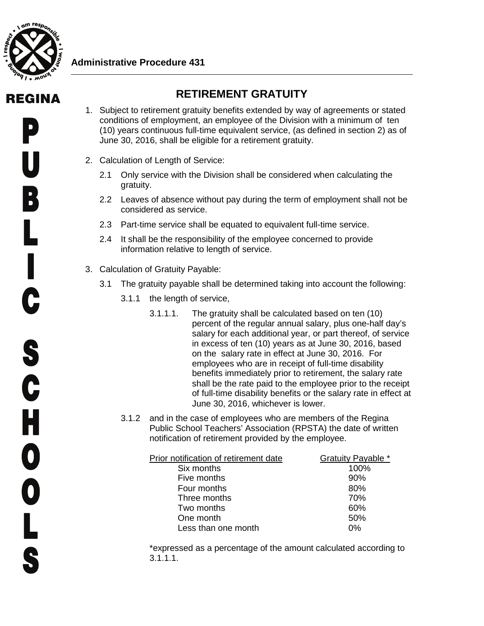

## **Administrative Procedure 431**

## REGINA

## **RETIREMENT GRATUITY**

- 1. Subject to retirement gratuity benefits extended by way of agreements or stated conditions of employment, an employee of the Division with a minimum of ten (10) years continuous full-time equivalent service, (as defined in section 2) as of June 30, 2016, shall be eligible for a retirement gratuity.
- 2. Calculation of Length of Service:
	- 2.1 Only service with the Division shall be considered when calculating the gratuity.
	- 2.2 Leaves of absence without pay during the term of employment shall not be considered as service.
	- 2.3 Part-time service shall be equated to equivalent full-time service.
	- 2.4 It shall be the responsibility of the employee concerned to provide information relative to length of service.
- 3. Calculation of Gratuity Payable:
	- 3.1 The gratuity payable shall be determined taking into account the following:
		- 3.1.1 the length of service,
			- 3.1.1.1. The gratuity shall be calculated based on ten (10) percent of the regular annual salary, plus one-half day's salary for each additional year, or part thereof, of service in excess of ten (10) years as at June 30, 2016, based on the salary rate in effect at June 30, 2016. For employees who are in receipt of full-time disability benefits immediately prior to retirement, the salary rate shall be the rate paid to the employee prior to the receipt of full-time disability benefits or the salary rate in effect at June 30, 2016, whichever is lower.
		- 3.1.2 and in the case of employees who are members of the Regina Public School Teachers' Association (RPSTA) the date of written notification of retirement provided by the employee.

| Prior notification of retirement date | <b>Gratuity Payable *</b> |
|---------------------------------------|---------------------------|
| Six months                            | 100%                      |
| Five months                           | 90%                       |
| Four months                           | 80%                       |
| Three months                          | 70%                       |
| Two months                            | 60%                       |
| One month                             | 50%                       |
| Less than one month                   | በ%                        |
|                                       |                           |

\*expressed as a percentage of the amount calculated according to 3.1.1.1.